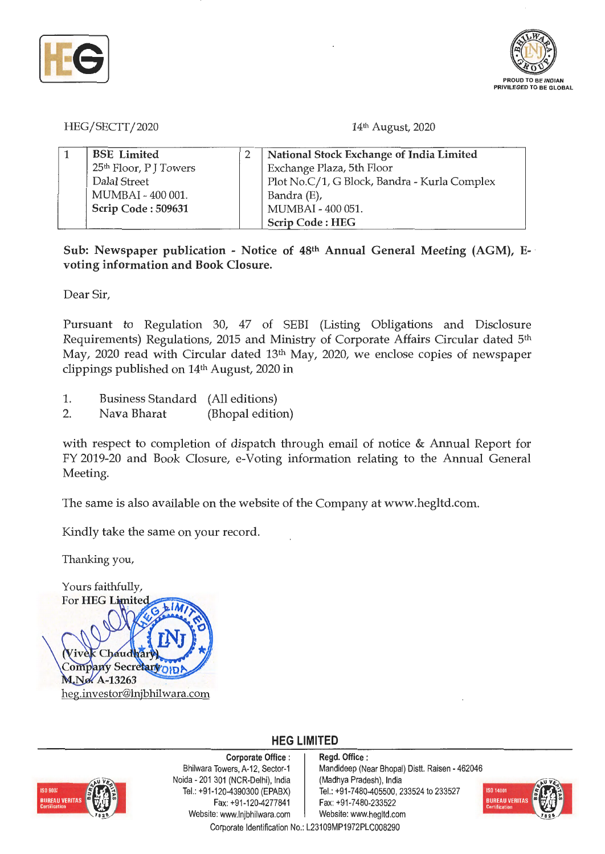



HEG/SECTT/2020

14<sup>th</sup> August, 2020

| <b>BSE</b> Limited                 | National Stock Exchange of India Limited     |
|------------------------------------|----------------------------------------------|
| 25 <sup>th</sup> Floor, P J Towers | Exchange Plaza, 5th Floor                    |
| Dalal Street                       | Plot No.C/1, G Block, Bandra - Kurla Complex |
| MUMBAI - 400 001.                  | Bandra (E),                                  |
| Scrip Code: 509631                 | MUMBAI - 400 051.                            |
|                                    | Scrip Code: HEG                              |

**Sub: Newspaper publication** - **Notice of 48th Annual General Meeting (AGM), E-** · **voting information and Book Closure.** 

Dear Sir,

Pursuant to Regulation 30, 47 of SEBI (Listing Obligations and Disclosure Requirements) Regulations, 2015 and Ministry of Corporate Affairs Circular dated 5th May, 2020 read with Circular dated 13<sup>th</sup> May, 2020, we enclose copies of newspaper clippings published on 14th August, 2020 in

- 1. Business Standard (All editions)
- 2. Nava Bharat (Bhopal edition)

with respect to completion of dispatch through email of notice & Annual Report for FY 2019-20 and Book Closure, e-Voting information relating to the Annual General Meeting.

The same is also available on the website of the Company at www.hegltd.com.

Kindly take the same on your record.

Thanking you,





**Corporate Office** : Bhilwara Towers, A-12, Sector-1 Noida - 201 301 (NCR-Delhi}, India Tel.: +91-120-4390300 (EPABX) Fax: +91-120-4277841 Website: www.lnjbhilwara.com | Website: www.hegltd.com

**Regd. Office** : Mandideep (Near Bhopal) Distt. Raisen - 462046 (Madhya Pradesh), India Tel.: +91-7480-405500, 233524 to 233527 Fax: +91-7480-233522



**HEG LIMITED**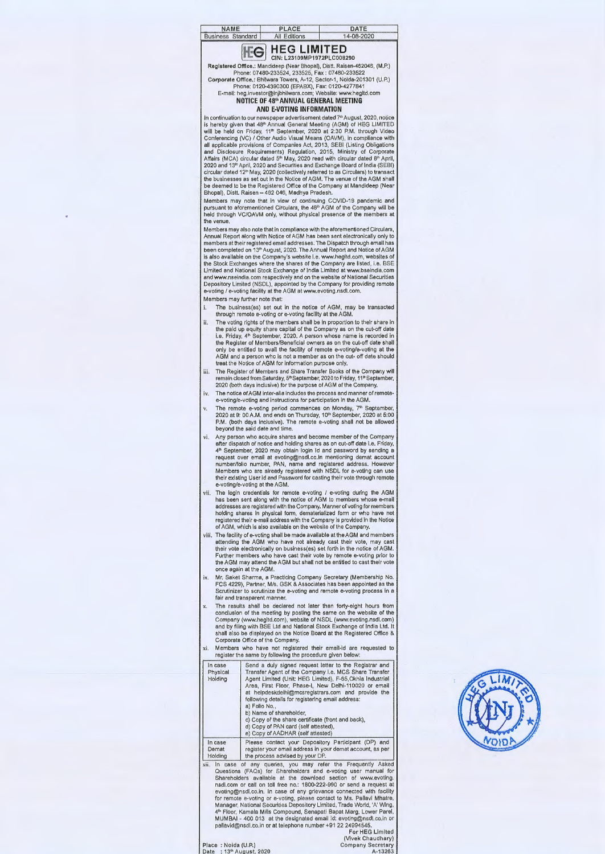| NAME                     | PLACE               | DATE       |  |
|--------------------------|---------------------|------------|--|
| <b>Business Standard</b> | <b>All Editions</b> | 14-08-2020 |  |

## **HEG LIMITED IFG** CIN: L23109MP1972PLCOOB290

Registered Office.: Mandideep (Near Bhopal), Distt. Raisen-462046, (M.P.) Phone: 07480-233524, 233525, Fax: 07480-233522<br>Corporate Office, : Bhilwara Towers, A-12, Sector-1, Noida-201301 (U.P.)<br>Phone: 0120-4390300 (EPABX), Fax: 0120-4277841<br>E-mail: heg.investor@injbhilwara.com; Website: www.hegl

## **AND E-VOTING INFORMATION**

In continuation to our newspaper advertisement dated 7<sup>9</sup> August, 2020, notice<br>is hereby given that 48<sup>th</sup> Annual General Meeting (AGM) of HEG LIMITED<br>will be held on Friday, 11<sup>th</sup> September, 2020 at 2:30 P.M. through Vid circular dated 12" May, 2020 (collectively referred to as Circulars) to transact<br>the businesses as set out in the Notice of AGM. The venue of the AGM shall<br>be deemed to be the Registered Office of the Company at Mandideep

Members may note that in view of continuing COVID-19 pandemic and<br>pursuant to aforementioned Circulars, the 48° AGM of the Company will be<br>held through VC/OAVM only, without physical presence of the members at the venue

Members may also note that in compliance with the aforementioned Circulars, Annual Report along with Notice of AGM has been sent electronically only to members at their registered email addresses. The Dispatch through email has been completed on 13™ August, 2020. The Annual Report and Notice of AGM<br>is also available on the Company's website i.e. www.hegltd.com, websites of<br>the Stock Exchanges where the shares of the Company are listed, i.e. BSE<br> and www.nseindia.com respectively and on the website of National Securities<br>Depository Limited (NSDL), appointed by the Company for providing remote<br>e-voting / e-voting facility at the AGM at www.evoting.nsdl.com.

Members may further note that·

- i. The business(es) set out in the notice of AGM, may be transacted through remote e-voting ore-voting facility at the AGM.
- ii. The voting rights of the members shall be in proportion to their share in the paid up equity share capital of the Company as on the cut-off date<br>i.e. Friday, 4\* September, 2020. A person whose name is recorded in<br>the Register of Members/Beneficial owners as on the cut-off date shall only be entitled to avail the facility of remote e-voting/e-voting at the AGM and a person who is not a member as on the cut- off date should treat the Notice of AGM for information purpose only.
- iii. The Register of Members and Share Transfer Books of the Company will remain closed from Saturday, 5<sup>th</sup> September, 2020 to Friday, 11ª September,<br>2020 (both days inclusive) for the purpose of AGM of the Company.
- iv. The notice of AGM inter-alia includes the process and manner of remotee-voting/e-voting and instructions for participation in the AGM.
- v. The remote e-voting period commences on Monday, 7ª September,<br>2020 at 9: 00 A.M. and ends on Thursday, 10ª September, 2020 at 5:00<br>P.M. (both days inclusive). The remote e-voting shall not be allowed beyond the said date and time,
- vi. Any person who acquire shares and become member of the Company after dispatch of notice and holding shares as on cut-off date i.e. Friday,<br>4ª September, 2020 may obtain login Id and password by sending a request over email at evoting@nsdl.co.in mentioning demat account<br>number/folio number, PAN, name and registered address. However<br>Members who are already registered with NSDL for e-voting can use<br>their existing User id and
- vii. The login credentials for remote e-voting / e-voting during the AGM<br>has been sent along with the notice of AGM to members whose e-mail<br>addresses are registered with the Company. Manner of voting for members<br>holding sh
- viii. The facility of e-voting shall be made available at the AGM and members<br>attending the AGM who have not already cast their vote, may cast<br>their vote electronically on business(es) set forth in the notice of AGM.<br>Furth the AGM may attend the AGM but shall not be entitled to cast their vote once again at the AGM.
- ix. Mr. Saket Sharma, a Practicing Company Secretary (Membership No.<br>FCS 4229), Partner, M/s. GSK & Associates has been appointed as the Scrutinizer to scrutinize the e-voting and remote e-voting process in a fair and transparent manner
- x. The results shall be declared not later than forty-eight hours from<br>conclusion of the meeting by posting the same on the website of the<br>Company (www.hegltd.com), website of NSDL (www.evoting.nsdl.com)<br>and by filing with
- xi. Members who have not registered their email-id are requested to register the same by following the procedure given below:

| In case<br>Physical<br>Holding | Send a duly signed request letter to the Registrar and<br>Transfer Agent of the Company i.e. MCS Share Transfer<br>Agent Limited (Unit: HEG Limited), F-65 Okhla Industrial<br>Area, First Floor, Phase-I, New Delhi-110020 or email<br>at helpdeskdelhi@mcsregistrars.com and provide the<br>following details for registering email address:<br>a) Folio No<br>b) Name of shareholder,<br>c) Copy of the share certificate (front and back),<br>d) Copy of PAN card (self attested),<br>e) Copy of AADHAR (self attested) |
|--------------------------------|-----------------------------------------------------------------------------------------------------------------------------------------------------------------------------------------------------------------------------------------------------------------------------------------------------------------------------------------------------------------------------------------------------------------------------------------------------------------------------------------------------------------------------|
| In case                        | Please contact your Depository Participant (DP) and                                                                                                                                                                                                                                                                                                                                                                                                                                                                         |
| Demat                          | register your email address in your demat account, as per                                                                                                                                                                                                                                                                                                                                                                                                                                                                   |
| Holding                        | the process advised by your DP.                                                                                                                                                                                                                                                                                                                                                                                                                                                                                             |

xii. In case of any queries, you may refer the Frequently Asked<br>Questions (FAQs) for Shareholders and e-voing user manual for<br>Shareholders available at the download section of www.evoting.<br>Install,com or call on toll free pallavid@nsdl.co.in or at telephone number +91 22 24994545.

For HEG Limited (Vivek Chaudhary)

Place : Noida (U.P.) Company Secretary<br>Date : 13<sup>th</sup> August, 2020 A-13263